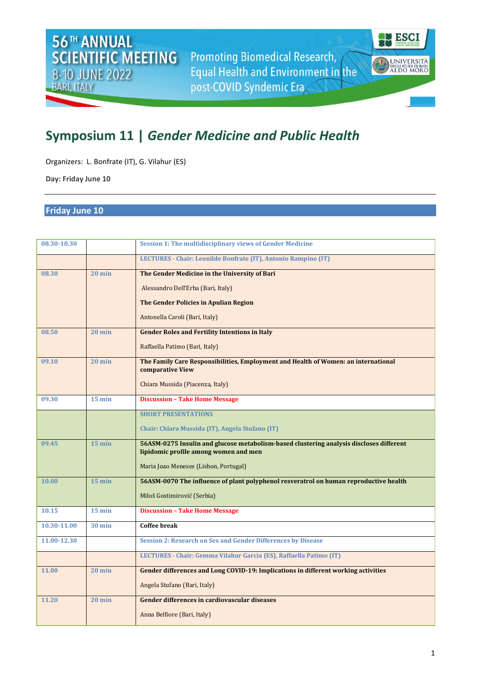**Promoting Biomedical Research,** Equal Health and Environment in the post-COVID Syndemic Era

**ESCI** 

**UNIVERSITÀ**<br>DEGLI STUDI DI BARI<br>ALDO MORO

A

## **Symposium 11 |** *Gender Medicine and Public Health*

Organizers: L. Bonfrate (IT), G. Vilahur (ES)

**Day: Friday June 10**

## **Friday June 10**

| 08.30-10.30 |                  | <b>Session 1: The multidisciplinary views of Gender Medicine</b>                                                                 |
|-------------|------------------|----------------------------------------------------------------------------------------------------------------------------------|
|             |                  | LECTURES - Chair: Leonilde Bonfrate (IT), Antonio Rampino (IT)                                                                   |
| 08.30       | $20 \text{ min}$ | The Gender Medicine in the University of Bari                                                                                    |
|             |                  | Alessandro Dell'Erba (Bari, Italy)                                                                                               |
|             |                  | The Gender Policies in Apulian Region                                                                                            |
|             |                  | Antonella Caroli (Bari, Italy)                                                                                                   |
| 08.50       | $20 \text{ min}$ | <b>Gender Roles and Fertility Intentions in Italy</b>                                                                            |
|             |                  | Raffaella Patimo (Bari, Italy)                                                                                                   |
| 09.10       | $20 \text{ min}$ | The Family Care Responsibilities, Employment and Health of Women: an international<br>comparative View                           |
|             |                  | Chiara Mussida (Piacenza, Italy)                                                                                                 |
| 09.30       | $15$ min         | <b>Discussion - Take Home Message</b>                                                                                            |
|             |                  | <b>SHORT PRESENTATIONS</b>                                                                                                       |
|             |                  | Chair: Chiara Mussida (IT), Angela Stufano (IT)                                                                                  |
| 09.45       | $15$ min         | 56ASM-0275 Insulin and glucose metabolism-based clustering analysis discloses different<br>lipidomic profile among women and men |
|             |                  | Maria Joao Meneses (Lisbon, Portugal)                                                                                            |
| 10.00       | $15$ min         | 56ASM-0070 The influence of plant polyphenol resveratrol on human reproductive health                                            |
|             |                  | Miloš Gostimirović (Serbia)                                                                                                      |
| 10.15       | $15$ min         | <b>Discussion - Take Home Message</b>                                                                                            |
| 10.30-11.00 | <b>30 min</b>    | <b>Coffee break</b>                                                                                                              |
|             |                  |                                                                                                                                  |
| 11.00-12.30 |                  | <b>Session 2: Research on Sex and Gender Differences by Disease</b>                                                              |
|             |                  | LECTURES - Chair: Gemma Vilahur Garcia (ES), Raffaella Patimo (IT)                                                               |
| 11.00       | $20 \text{ min}$ | Gender differences and Long COVID-19: Implications in different working activities                                               |
|             |                  | Angela Stufano (Bari, Italy)                                                                                                     |
| 11.20       | $20 \text{ min}$ | Gender differences in cardiovascular diseases                                                                                    |
|             |                  | Anna Belfiore (Bari, Italy)                                                                                                      |